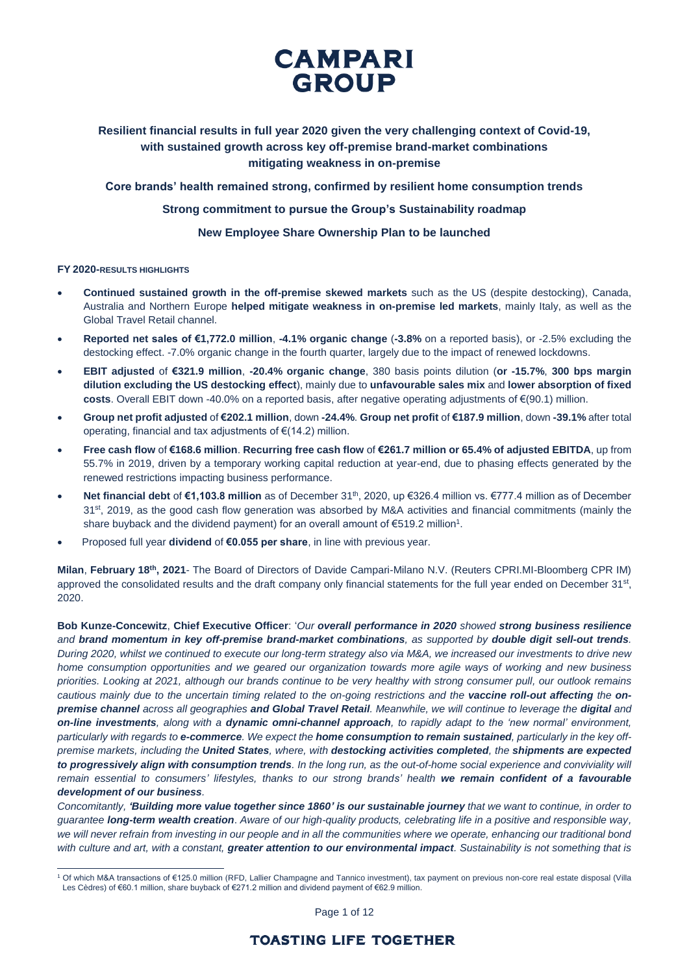## **Resilient financial results in full year 2020 given the very challenging context of Covid-19, with sustained growth across key off-premise brand-market combinations mitigating weakness in on-premise**

**Core brands' health remained strong, confirmed by resilient home consumption trends**

**Strong commitment to pursue the Group's Sustainability roadmap**

**New Employee Share Ownership Plan to be launched**

### **FY 2020-RESULTS HIGHLIGHTS**

 $\overline{a}$ 

- **Continued sustained growth in the off-premise skewed markets** such as the US (despite destocking), Canada, Australia and Northern Europe **helped mitigate weakness in on-premise led markets**, mainly Italy, as well as the Global Travel Retail channel.
- **Reported net sales of €1,772.0 million**, **-4.1% organic change** (**-3.8%** on a reported basis), or -2.5% excluding the destocking effect. -7.0% organic change in the fourth quarter, largely due to the impact of renewed lockdowns.
- **EBIT adjusted** of **€321.9 million**, **-20.4% organic change**, 380 basis points dilution (**or -15.7%**, **300 bps margin dilution excluding the US destocking effect**), mainly due to **unfavourable sales mix** and **lower absorption of fixed costs**. Overall EBIT down -40.0% on a reported basis, after negative operating adjustments of €(90.1) million.
- **Group net profit adjusted** of **€202.1 million**, down **-24.4%**. **Group net profit** of **€187.9 million**, down **-39.1%** after total operating, financial and tax adjustments of €(14.2) million.
- **Free cash flow** of **€168.6 million**. **Recurring free cash flow** of **€261.7 million or 65.4% of adjusted EBITDA**, up from 55.7% in 2019, driven by a temporary working capital reduction at year-end, due to phasing effects generated by the renewed restrictions impacting business performance.
- **Net financial debt of €1,103.8 million** as of December 31<sup>th</sup>, 2020, up €326.4 million vs. €777.4 million as of December 31<sup>st</sup>, 2019, as the good cash flow generation was absorbed by M&A activities and financial commitments (mainly the share buyback and the dividend payment) for an overall amount of  $\epsilon$ 519.2 million<sup>1</sup>.
- Proposed full year **dividend** of **€0.055 per share**, in line with previous year.

**Milan**, **February 18th , 2021**- The Board of Directors of Davide Campari-Milano N.V. (Reuters CPRI.MI-Bloomberg CPR IM) approved the consolidated results and the draft company only financial statements for the full year ended on December 31<sup>st</sup>, 2020.

**Bob Kunze-Concewitz**, **Chief Executive Officer**: '*Our overall performance in 2020 showed strong business resilience and brand momentum in key off-premise brand-market combinations, as supported by double digit sell-out trends. During 2020, whilst we continued to execute our long-term strategy also via M&A, we increased our investments to drive new home consumption opportunities and we geared our organization towards more agile ways of working and new business priorities. Looking at 2021, although our brands continue to be very healthy with strong consumer pull, our outlook remains cautious mainly due to the uncertain timing related to the on-going restrictions and the vaccine roll-out affecting the onpremise channel across all geographies and Global Travel Retail. Meanwhile, we will continue to leverage the digital and on-line investments, along with a dynamic omni-channel approach, to rapidly adapt to the 'new normal' environment, particularly with regards to e-commerce. We expect the home consumption to remain sustained, particularly in the key offpremise markets, including the United States, where, with destocking activities completed, the shipments are expected to progressively align with consumption trends. In the long run, as the out-of-home social experience and conviviality will remain essential to consumers' lifestyles, thanks to our strong brands' health we remain confident of a favourable development of our business.* 

*Concomitantly, 'Building more value together since 1860' is our sustainable journey that we want to continue, in order to guarantee long-term wealth creation*. *Aware of our high-quality products, celebrating life in a positive and responsible way, we will never refrain from investing in our people and in all the communities where we operate, enhancing our traditional bond with culture and art, with a constant, greater attention to our environmental impact. Sustainability is not something that is* 

Page 1 of 12

<sup>1</sup> Of which M&A transactions of €125.0 million (RFD, Lallier Champagne and Tannico investment), tax payment on previous non-core real estate disposal (Villa Les Cèdres) of €60.1 million, share buyback of €271.2 million and dividend payment of €62.9 million.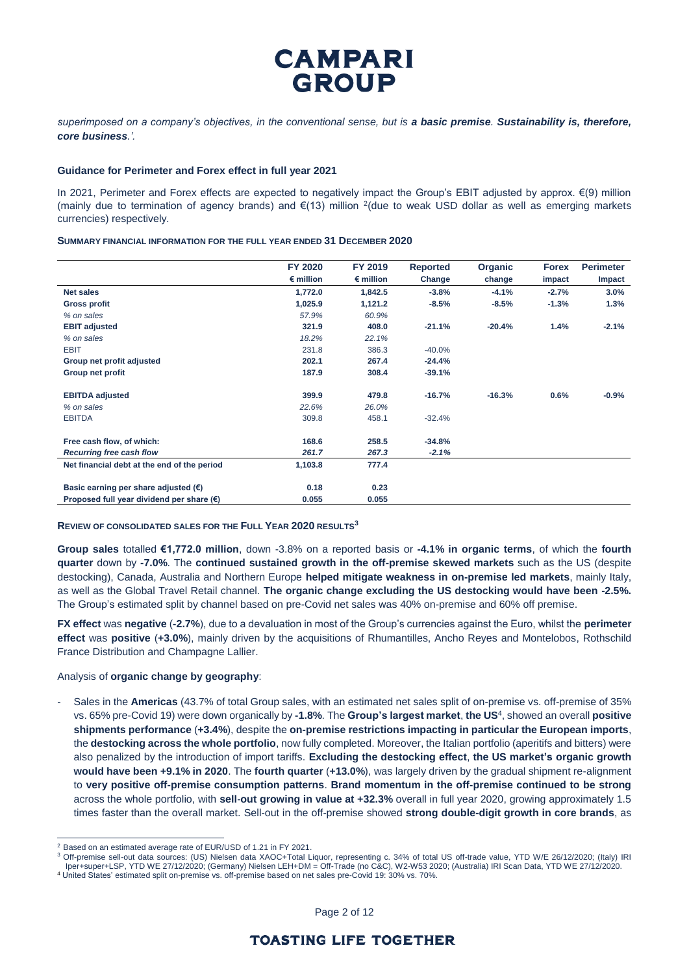*superimposed on a company's objectives, in the conventional sense, but is a basic premise. Sustainability is, therefore, core business.'.*

### **Guidance for Perimeter and Forex effect in full year 2021**

In 2021, Perimeter and Forex effects are expected to negatively impact the Group's EBIT adjusted by approx. €(9) million (mainly due to termination of agency brands) and  $E(13)$  million <sup>2</sup>(due to weak USD dollar as well as emerging markets currencies) respectively*.*

#### **SUMMARY FINANCIAL INFORMATION FOR THE FULL YEAR ENDED 31 DECEMBER 2020**

|                                                    | FY 2020            | FY 2019            | <b>Reported</b> | Organic  | <b>Forex</b> | <b>Perimeter</b> |
|----------------------------------------------------|--------------------|--------------------|-----------------|----------|--------------|------------------|
|                                                    | $\epsilon$ million | $\epsilon$ million | Change          | change   | impact       | Impact           |
| <b>Net sales</b>                                   | 1,772.0            | 1,842.5            | $-3.8%$         | $-4.1%$  | $-2.7%$      | 3.0%             |
| <b>Gross profit</b>                                | 1,025.9            | 1,121.2            | $-8.5%$         | $-8.5%$  | $-1.3%$      | 1.3%             |
| % on sales                                         | 57.9%              | 60.9%              |                 |          |              |                  |
| <b>EBIT adjusted</b>                               | 321.9              | 408.0              | $-21.1%$        | $-20.4%$ | 1.4%         | $-2.1%$          |
| % on sales                                         | 18.2%              | 22.1%              |                 |          |              |                  |
| <b>EBIT</b>                                        | 231.8              | 386.3              | $-40.0%$        |          |              |                  |
| Group net profit adjusted                          | 202.1              | 267.4              | $-24.4%$        |          |              |                  |
| Group net profit                                   | 187.9              | 308.4              | $-39.1%$        |          |              |                  |
| <b>EBITDA</b> adjusted                             | 399.9              | 479.8              | $-16.7%$        | $-16.3%$ | 0.6%         | $-0.9%$          |
| % on sales                                         | 22.6%              | 26.0%              |                 |          |              |                  |
| <b>EBITDA</b>                                      | 309.8              | 458.1              | $-32.4%$        |          |              |                  |
| Free cash flow, of which:                          | 168.6              | 258.5              | $-34.8%$        |          |              |                  |
| <b>Recurring free cash flow</b>                    | 261.7              | 267.3              | $-2.1%$         |          |              |                  |
| Net financial debt at the end of the period        | 1,103.8            | 777.4              |                 |          |              |                  |
| Basic earning per share adjusted $(\epsilon)$      | 0.18               | 0.23               |                 |          |              |                  |
| Proposed full year dividend per share $(\epsilon)$ | 0.055              | 0.055              |                 |          |              |                  |

#### **REVIEW OF CONSOLIDATED SALES FOR THE FULL YEAR 2020 RESULTS<sup>3</sup>**

**Group sales** totalled **€1,772.0 million**, down -3.8% on a reported basis or **-4.1% in organic terms**, of which the **fourth quarter** down by **-7.0%**. The **continued sustained growth in the off-premise skewed markets** such as the US (despite destocking), Canada, Australia and Northern Europe **helped mitigate weakness in on-premise led markets**, mainly Italy, as well as the Global Travel Retail channel. **The organic change excluding the US destocking would have been -2.5%.** The Group's estimated split by channel based on pre-Covid net sales was 40% on-premise and 60% off premise.

**FX effect** was **negative** (**-2.7%**), due to a devaluation in most of the Group's currencies against the Euro, whilst the **perimeter effect** was **positive** (**+3.0%**), mainly driven by the acquisitions of Rhumantilles, Ancho Reyes and Montelobos, Rothschild France Distribution and Champagne Lallier.

### Analysis of **organic change by geography**:

- Sales in the **Americas** (43.7% of total Group sales, with an estimated net sales split of on-premise vs. off-premise of 35% vs. 65% pre-Covid 19) were down organically by **-1.8%**. The **Group's largest market**, **the US**<sup>4</sup> , showed an overall **positive shipments performance** (**+3.4%**), despite the **on-premise restrictions impacting in particular the European imports**, the **destocking across the whole portfolio**, now fully completed. Moreover, the Italian portfolio (aperitifs and bitters) were also penalized by the introduction of import tariffs. **Excluding the destocking effect**, **the US market's organic growth would have been +9.1% in 2020**. The **fourth quarter** (**+13.0%**), was largely driven by the gradual shipment re-alignment to **very positive off-premise consumption patterns**. **Brand momentum in the off-premise continued to be strong** across the whole portfolio, with **sell**-**out growing in value at +32.3%** overall in full year 2020, growing approximately 1.5 times faster than the overall market. Sell-out in the off-premise showed **strong double-digit growth in core brands**, as

 $\overline{a}$ 

<sup>3</sup> Off-premise sell-out data sources: (US) Nielsen data XAOC+Total Liquor, representing c. 34% of total US off-trade value, YTD W/E 26/12/2020; (Italy) IRI Iper+super+LSP, YTD WE 27/12/2020; (Germany) Nielsen LEH+DM = Off-Trade (no C&C), W2-W53 2020; (Australia) IRI Scan Data, YTD WE 27/12/2020.

<sup>4</sup> United States' estimated split on-premise vs. off-premise based on net sales pre-Covid 19: 30% vs. 70%.

<sup>2</sup> Based on an estimated average rate of EUR/USD of 1.21 in FY 2021.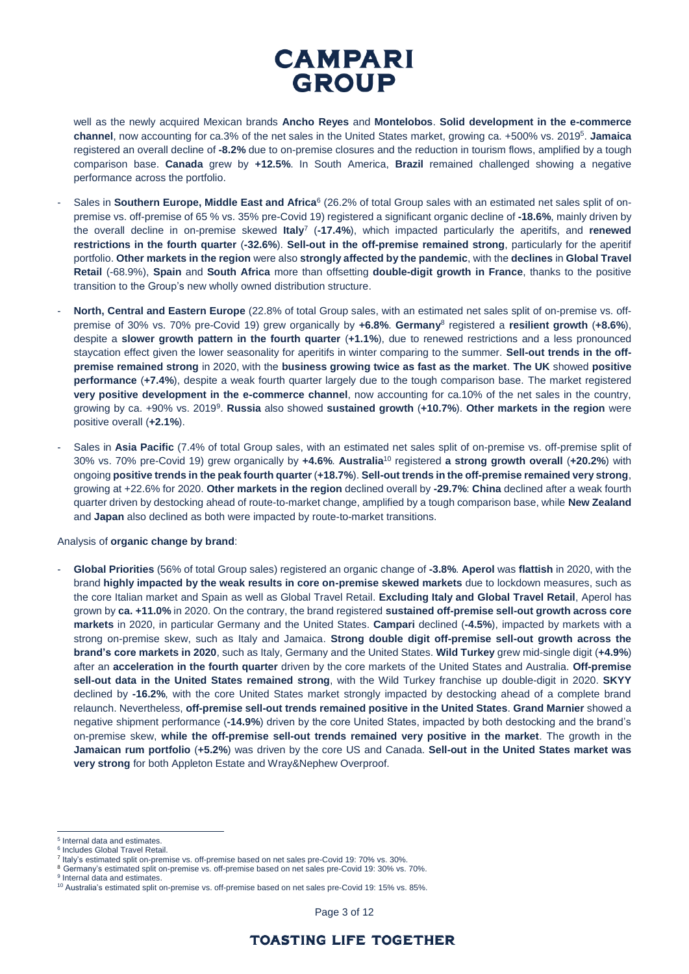well as the newly acquired Mexican brands **Ancho Reyes** and **Montelobos**. **Solid development in the e-commerce channel**, now accounting for ca.3% of the net sales in the United States market, growing ca. +500% vs. 2019<sup>5</sup> . **Jamaica** registered an overall decline of **-8.2%** due to on-premise closures and the reduction in tourism flows, amplified by a tough comparison base. **Canada** grew by **+12.5%**. In South America, **Brazil** remained challenged showing a negative performance across the portfolio.

- Sales in **Southern Europe, Middle East and Africa**<sup>6</sup> (26.2% of total Group sales with an estimated net sales split of onpremise vs. off-premise of 65 % vs. 35% pre-Covid 19) registered a significant organic decline of **-18.6%**, mainly driven by the overall decline in on-premise skewed **Italy**<sup>7</sup> (**-17.4%**), which impacted particularly the aperitifs, and **renewed restrictions in the fourth quarter** (**-32.6%**). **Sell-out in the off-premise remained strong**, particularly for the aperitif portfolio. **Other markets in the region** were also **strongly affected by the pandemic**, with the **declines** in **Global Travel Retail** (-68.9%), **Spain** and **South Africa** more than offsetting **double-digit growth in France**, thanks to the positive transition to the Group's new wholly owned distribution structure.
- **North, Central and Eastern Europe** (22.8% of total Group sales, with an estimated net sales split of on-premise vs. offpremise of 30% vs. 70% pre-Covid 19) grew organically by **+6.8%**. **Germany**<sup>8</sup> registered a **resilient growth** (**+8.6%**), despite a **slower growth pattern in the fourth quarter** (**+1.1%**), due to renewed restrictions and a less pronounced staycation effect given the lower seasonality for aperitifs in winter comparing to the summer. **Sell-out trends in the offpremise remained strong** in 2020, with the **business growing twice as fast as the market**. **The UK** showed **positive performance** (**+7.4%**), despite a weak fourth quarter largely due to the tough comparison base. The market registered **very positive development in the e-commerce channel**, now accounting for ca.10% of the net sales in the country, growing by ca. +90% vs. 2019<sup>9</sup> . **Russia** also showed **sustained growth** (**+10.7%**). **Other markets in the region** were positive overall (**+2.1%**).
- Sales in **Asia Pacific** (7.4% of total Group sales, with an estimated net sales split of on-premise vs. off-premise split of 30% vs. 70% pre-Covid 19) grew organically by **+4.6%**. **Australia**<sup>10</sup> registered **a strong growth overall** (**+20.2%**) with ongoing **positive trends in the peak fourth quarter** (**+18.7%**). **Sell-out trends in the off-premise remained very strong**, growing at +22.6% for 2020. **Other markets in the region** declined overall by **-29.7%**: **China** declined after a weak fourth quarter driven by destocking ahead of route-to-market change, amplified by a tough comparison base, while **New Zealand** and **Japan** also declined as both were impacted by route-to-market transitions.

### Analysis of **organic change by brand**:

- **Global Priorities** (56% of total Group sales) registered an organic change of **-3.8%**. **Aperol** was **flattish** in 2020, with the brand **highly impacted by the weak results in core on-premise skewed markets** due to lockdown measures, such as the core Italian market and Spain as well as Global Travel Retail. **Excluding Italy and Global Travel Retail**, Aperol has grown by **ca. +11.0%** in 2020. On the contrary, the brand registered **sustained off-premise sell-out growth across core markets** in 2020, in particular Germany and the United States. **Campari** declined (**-4.5%**), impacted by markets with a strong on-premise skew, such as Italy and Jamaica. **Strong double digit off-premise sell-out growth across the brand's core markets in 2020**, such as Italy, Germany and the United States. **Wild Turkey** grew mid-single digit (**+4.9%**) after an **acceleration in the fourth quarter** driven by the core markets of the United States and Australia. **Off-premise sell-out data in the United States remained strong**, with the Wild Turkey franchise up double-digit in 2020. **SKYY** declined by **-16.2%**, with the core United States market strongly impacted by destocking ahead of a complete brand relaunch. Nevertheless, **off-premise sell-out trends remained positive in the United States**. **Grand Marnier** showed a negative shipment performance (**-14.9%**) driven by the core United States, impacted by both destocking and the brand's on-premise skew, **while the off-premise sell-out trends remained very positive in the market**. The growth in the **Jamaican rum portfolio** (**+5.2%**) was driven by the core US and Canada. **Sell-out in the United States market was very strong** for both Appleton Estate and Wray&Nephew Overproof.

 $\overline{a}$ 

<sup>8</sup> Germany's estimated split on-premise vs. off-premise based on net sales pre-Covid 19: 30% vs. 70%.

Page 3 of 12

<sup>5</sup> Internal data and estimates.

<sup>6</sup> Includes Global Travel Retail.

<sup>7</sup> Italy's estimated split on-premise vs. off-premise based on net sales pre-Covid 19: 70% vs. 30%.

<sup>&</sup>lt;sup>9</sup> Internal data and estimates.

<sup>10</sup> Australia's estimated split on-premise vs. off-premise based on net sales pre-Covid 19: 15% vs. 85%.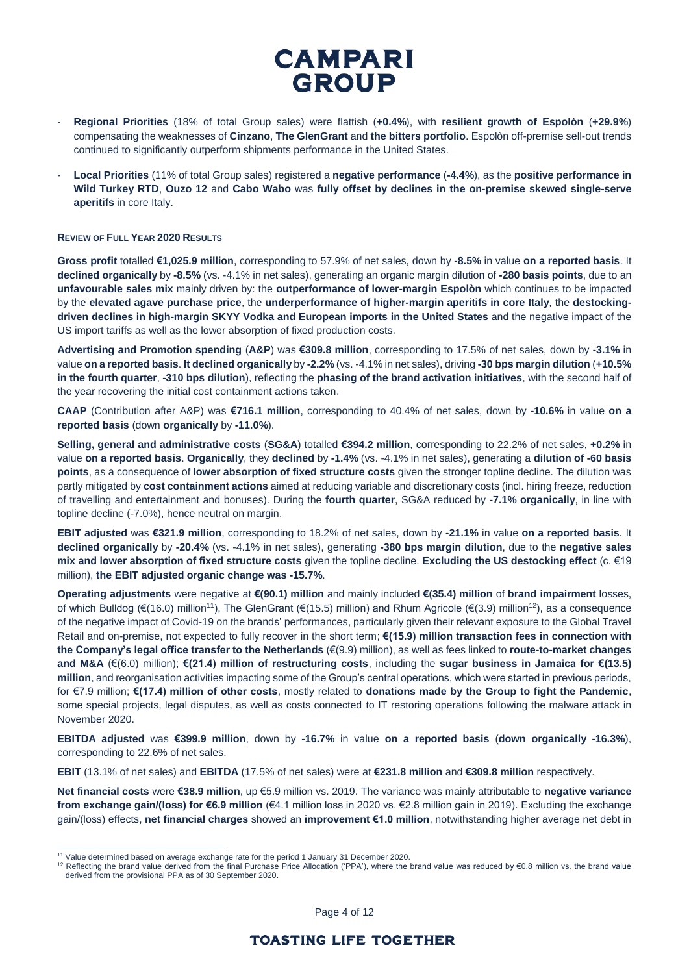- **Regional Priorities** (18% of total Group sales) were flattish (**+0.4%**), with **resilient growth of Espolòn** (**+29.9%**) compensating the weaknesses of **Cinzano**, **The GlenGrant** and **the bitters portfolio**. Espolòn off-premise sell-out trends continued to significantly outperform shipments performance in the United States.
- **Local Priorities** (11% of total Group sales) registered a **negative performance** (**-4.4%**), as the **positive performance in Wild Turkey RTD**, **Ouzo 12** and **Cabo Wabo** was **fully offset by declines in the on-premise skewed single-serve aperitifs** in core Italy.

### **REVIEW OF FULL YEAR 2020 RESULTS**

**Gross profit** totalled **€1,025.9 million**, corresponding to 57.9% of net sales, down by **-8.5%** in value **on a reported basis**. It **declined organically** by **-8.5%** (vs. -4.1% in net sales), generating an organic margin dilution of **-280 basis points**, due to an **unfavourable sales mix** mainly driven by: the **outperformance of lower-margin Espolòn** which continues to be impacted by the **elevated agave purchase price**, the **underperformance of higher-margin aperitifs in core Italy**, the **destockingdriven declines in high-margin SKYY Vodka and European imports in the United States** and the negative impact of the US import tariffs as well as the lower absorption of fixed production costs.

**Advertising and Promotion spending** (**A&P**) was **€309.8 million**, corresponding to 17.5% of net sales, down by **-3.1%** in value **on a reported basis**. **It declined organically** by **-2.2%** (vs. -4.1% in net sales), driving **-30 bps margin dilution** (**+10.5% in the fourth quarter**, **-310 bps dilution**), reflecting the **phasing of the brand activation initiatives**, with the second half of the year recovering the initial cost containment actions taken.

**CAAP** (Contribution after A&P) was **€716.1 million**, corresponding to 40.4% of net sales, down by **-10.6%** in value **on a reported basis** (down **organically** by **-11.0%**).

**Selling, general and administrative costs** (**SG&A**) totalled **€394.2 million**, corresponding to 22.2% of net sales, **+0.2%** in value **on a reported basis**. **Organically**, they **declined** by **-1.4%** (vs. -4.1% in net sales), generating a **dilution of -60 basis points**, as a consequence of **lower absorption of fixed structure costs** given the stronger topline decline. The dilution was partly mitigated by **cost containment actions** aimed at reducing variable and discretionary costs (incl. hiring freeze, reduction of travelling and entertainment and bonuses). During the **fourth quarter**, SG&A reduced by **-7.1% organically**, in line with topline decline (-7.0%), hence neutral on margin.

**EBIT adjusted** was **€321.9 million**, corresponding to 18.2% of net sales, down by **-21.1%** in value **on a reported basis**. It **declined organically** by **-20.4%** (vs. -4.1% in net sales), generating **-380 bps margin dilution**, due to the **negative sales mix and lower absorption of fixed structure costs** given the topline decline. **Excluding the US destocking effect** (c. €19 million), **the EBIT adjusted organic change was -15.7%**.

**Operating adjustments** were negative at **€(90.1) million** and mainly included **€(35.4) million** of **brand impairment** losses, of which Bulldog (€(16.0) million<sup>11</sup>), The GlenGrant (€(15.5) million) and Rhum Agricole (€(3.9) million<sup>12</sup>), as a consequence of the negative impact of Covid-19 on the brands' performances, particularly given their relevant exposure to the Global Travel Retail and on-premise, not expected to fully recover in the short term; **€(15.9) million transaction fees in connection with the Company's legal office transfer to the Netherlands** (€(9.9) million), as well as fees linked to **route-to-market changes and M&A** (€(6.0) million); **€(21.4) million of restructuring costs**, including the **sugar business in Jamaica for €(13.5) million**, and reorganisation activities impacting some of the Group's central operations, which were started in previous periods, for €7.9 million; **€(17.4) million of other costs**, mostly related to **donations made by the Group to fight the Pandemic**, some special projects, legal disputes, as well as costs connected to IT restoring operations following the malware attack in November 2020.

**EBITDA adjusted** was **€399.9 million**, down by **-16.7%** in value **on a reported basis** (**down organically -16.3%**), corresponding to 22.6% of net sales.

**EBIT** (13.1% of net sales) and **EBITDA** (17.5% of net sales) were at **€231.8 million** and **€309.8 million** respectively.

**Net financial costs** were **€38.9 million**, up €5.9 million vs. 2019. The variance was mainly attributable to **negative variance from exchange gain/(loss) for €6.9 million** (€4.1 million loss in 2020 vs. €2.8 million gain in 2019). Excluding the exchange gain/(loss) effects, **net financial charges** showed an **improvement €1.0 million**, notwithstanding higher average net debt in

 $\overline{a}$ 

Page 4 of 12

<sup>&</sup>lt;sup>11</sup> Value determined based on average exchange rate for the period 1 January 31 December 2020.

<sup>&</sup>lt;sup>12</sup> Reflecting the brand value derived from the final Purchase Price Allocation ('PPA'), where the brand value was reduced by €0.8 million vs. the brand value derived from the provisional PPA as of 30 September 2020.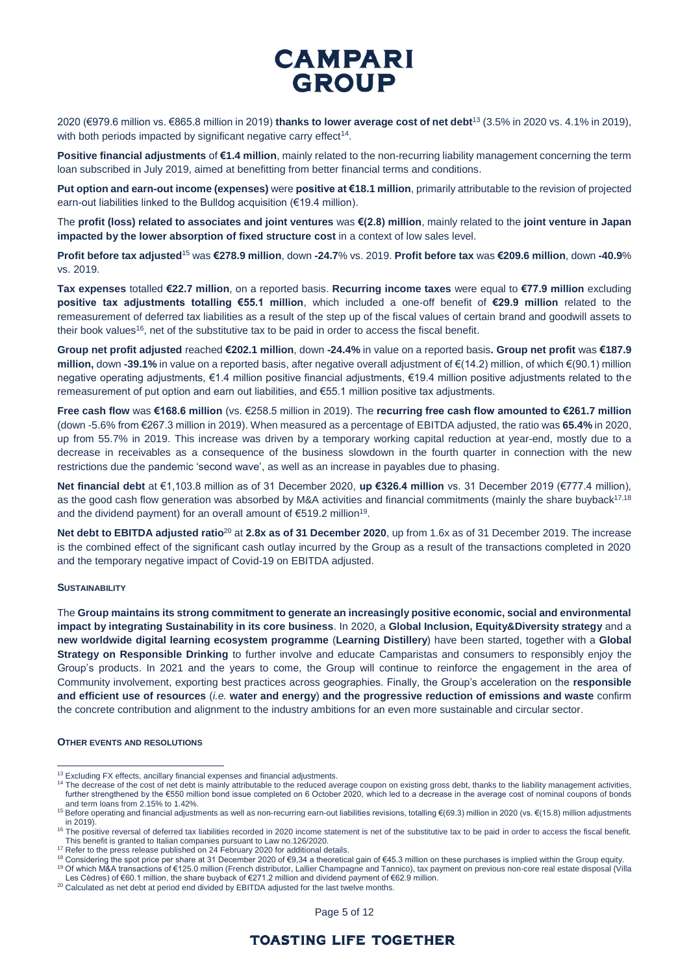2020 (€979.6 million vs. €865.8 million in 2019) **thanks to lower average cost of net debt**<sup>13</sup> (3.5% in 2020 vs. 4.1% in 2019), with both periods impacted by significant negative carry effect<sup>14</sup>.

**Positive financial adjustments** of **€1.4 million**, mainly related to the non-recurring liability management concerning the term loan subscribed in July 2019, aimed at benefitting from better financial terms and conditions.

**Put option and earn-out income (expenses)** were **positive at €18.1 million**, primarily attributable to the revision of projected earn-out liabilities linked to the Bulldog acquisition (€19.4 million).

The **profit (loss) related to associates and joint ventures** was **€(2.8) million**, mainly related to the **joint venture in Japan impacted by the lower absorption of fixed structure cost** in a context of low sales level.

**Profit before tax adjusted**<sup>15</sup> was **€278.9 million**, down **-24.7**% vs. 2019. **Profit before tax** was **€209.6 million**, down **-40.9**% vs. 2019.

**Tax expenses** totalled **€22.7 million**, on a reported basis. **Recurring income taxes** were equal to **€77.9 million** excluding **positive tax adjustments totalling €55.1 million**, which included a one-off benefit of **€29.9 million** related to the remeasurement of deferred tax liabilities as a result of the step up of the fiscal values of certain brand and goodwill assets to their book values<sup>16</sup>, net of the substitutive tax to be paid in order to access the fiscal benefit.

**Group net profit adjusted** reached **€202.1 million**, down **-24.4%** in value on a reported basis**. Group net profit** was **€187.9 million,** down **-39.1%** in value on a reported basis, after negative overall adjustment of €(14.2) million, of which €(90.1) million negative operating adjustments, €1.4 million positive financial adjustments, €19.4 million positive adjustments related to the remeasurement of put option and earn out liabilities, and €55.1 million positive tax adjustments.

**Free cash flow** was **€168.6 million** (vs. €258.5 million in 2019). The **recurring free cash flow amounted to €261.7 million**  (down -5.6% from €267.3 million in 2019). When measured as a percentage of EBITDA adjusted, the ratio was **65.4%** in 2020, up from 55.7% in 2019. This increase was driven by a temporary working capital reduction at year-end, mostly due to a decrease in receivables as a consequence of the business slowdown in the fourth quarter in connection with the new restrictions due the pandemic 'second wave', as well as an increase in payables due to phasing.

**Net financial debt** at €1,103.8 million as of 31 December 2020, **up €326.4 million** vs. 31 December 2019 (€777.4 million), as the good cash flow generation was absorbed by M&A activities and financial commitments (mainly the share buyback $17,18$ and the dividend payment) for an overall amount of €519.2 million<sup>19</sup>.

**Net debt to EBITDA adjusted ratio**<sup>20</sup> at **2.8x as of 31 December 2020**, up from 1.6x as of 31 December 2019. The increase is the combined effect of the significant cash outlay incurred by the Group as a result of the transactions completed in 2020 and the temporary negative impact of Covid-19 on EBITDA adjusted.

### **SUSTAINABILITY**

 $\overline{a}$ 

The **Group maintains its strong commitment to generate an increasingly positive economic, social and environmental impact by integrating Sustainability in its core business**. In 2020, a **Global Inclusion, Equity&Diversity strategy** and a **new worldwide digital learning ecosystem programme** (**Learning Distillery**) have been started, together with a **Global Strategy on Responsible Drinking** to further involve and educate Camparistas and consumers to responsibly enjoy the Group's products. In 2021 and the years to come, the Group will continue to reinforce the engagement in the area of Community involvement, exporting best practices across geographies. Finally, the Group's acceleration on the **responsible and efficient use of resources** (*i.e.* **water and energy**) **and the progressive reduction of emissions and waste** confirm the concrete contribution and alignment to the industry ambitions for an even more sustainable and circular sector.

#### **OTHER EVENTS AND RESOLUTIONS**

<sup>&</sup>lt;sup>13</sup> Excluding FX effects, ancillary financial expenses and financial adjustments.

<sup>14</sup> The decrease of the cost of net debt is mainly attributable to the reduced average coupon on existing gross debt, thanks to the liability management activities, further strengthened by the €550 million bond issue completed on 6 October 2020, which led to a decrease in the average cost of nominal coupons of bonds and term loans from 2.15% to 1.42%.

<sup>15</sup> Before operating and financial adjustments as well as non-recurring earn-out liabilities revisions, totalling €(69.3) million in 2020 (vs. €(15.8) million adjustments in 2019).

 $16$  The positive reversal of deferred tax liabilities recorded in 2020 income statement is net of the substitutive tax to be paid in order to access the fiscal benefit. This benefit is granted to Italian companies pursuant to Law no.126/2020.

<sup>&</sup>lt;sup>17</sup> Refer to the press release published on 24 February 2020 for additional details.

<sup>18</sup> Considering the spot price per share at 31 December 2020 of €9,34 a theoretical gain of €45.3 million on these purchases is implied within the Group equity.

<sup>&</sup>lt;sup>19</sup> Of which M&A transactions of €125.0 million (French distributor, Lallier Champagne and Tannico), tax payment on previous non-core real estate disposal (Villa Les Cèdres) of €60.1 million, the share buyback of €271.2 million and dividend payment of €62.9 million.

<sup>&</sup>lt;sup>20</sup> Calculated as net debt at period end divided by EBITDA adjusted for the last twelve months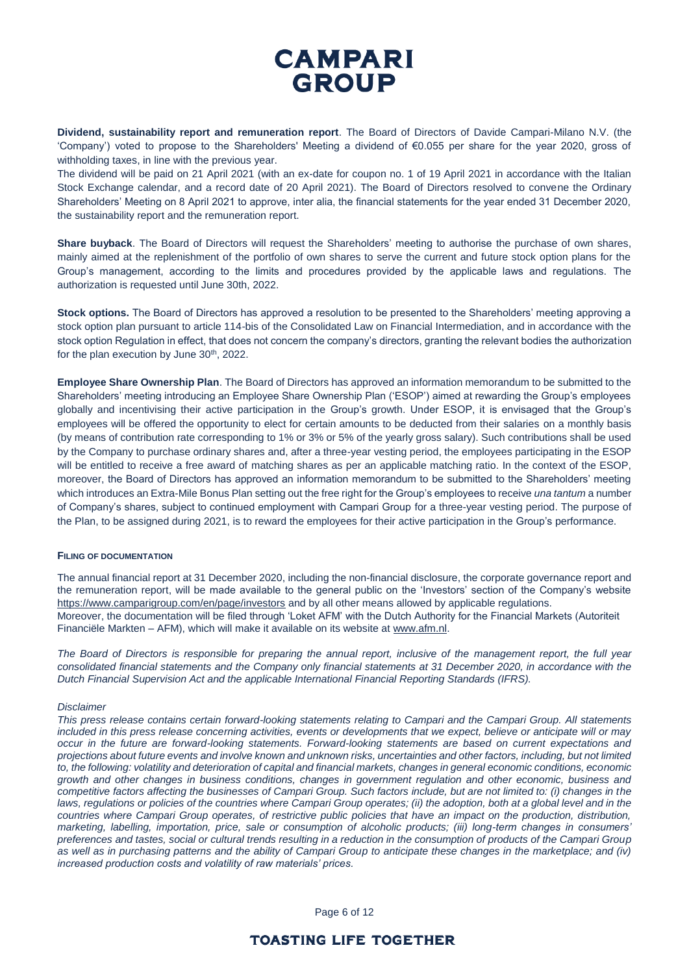**Dividend, sustainability report and remuneration report**. The Board of Directors of Davide Campari-Milano N.V. (the 'Company') voted to propose to the Shareholders' Meeting a dividend of €0.055 per share for the year 2020, gross of withholding taxes, in line with the previous year.

The dividend will be paid on 21 April 2021 (with an ex-date for coupon no. 1 of 19 April 2021 in accordance with the Italian Stock Exchange calendar, and a record date of 20 April 2021). The Board of Directors resolved to convene the Ordinary Shareholders' Meeting on 8 April 2021 to approve, inter alia, the financial statements for the year ended 31 December 2020, the sustainability report and the remuneration report.

**Share buyback**. The Board of Directors will request the Shareholders' meeting to authorise the purchase of own shares, mainly aimed at the replenishment of the portfolio of own shares to serve the current and future stock option plans for the Group's management, according to the limits and procedures provided by the applicable laws and regulations. The authorization is requested until June 30th, 2022.

**Stock options.** The Board of Directors has approved a resolution to be presented to the Shareholders' meeting approving a stock option plan pursuant to article 114-bis of the Consolidated Law on Financial Intermediation, and in accordance with the stock option Regulation in effect, that does not concern the company's directors, granting the relevant bodies the authorization for the plan execution by June 30<sup>th</sup>, 2022.

**Employee Share Ownership Plan**. The Board of Directors has approved an information memorandum to be submitted to the Shareholders' meeting introducing an Employee Share Ownership Plan ('ESOP') aimed at rewarding the Group's employees globally and incentivising their active participation in the Group's growth. Under ESOP, it is envisaged that the Group's employees will be offered the opportunity to elect for certain amounts to be deducted from their salaries on a monthly basis (by means of contribution rate corresponding to 1% or 3% or 5% of the yearly gross salary). Such contributions shall be used by the Company to purchase ordinary shares and, after a three-year vesting period, the employees participating in the ESOP will be entitled to receive a free award of matching shares as per an applicable matching ratio. In the context of the ESOP, moreover, the Board of Directors has approved an information memorandum to be submitted to the Shareholders' meeting which introduces an Extra-Mile Bonus Plan setting out the free right for the Group's employees to receive *una tantum* a number of Company's shares, subject to continued employment with Campari Group for a three-year vesting period. The purpose of the Plan, to be assigned during 2021, is to reward the employees for their active participation in the Group's performance.

### **FILING OF DOCUMENTATION**

The annual financial report at 31 December 2020, including the non-financial disclosure, the corporate governance report and the remuneration report, will be made available to the general public on the 'Investors' section of the Company's website <https://www.camparigroup.com/en/page/investors> and by all other means allowed by applicable regulations. Moreover, the documentation will be filed through 'Loket AFM' with the Dutch Authority for the Financial Markets (Autoriteit Financiële Markten – AFM), which will make it available on its website a[t www.afm.nl.](http://www.afm.nl/)

*The Board of Directors is responsible for preparing the annual report, inclusive of the management report, the full year consolidated financial statements and the Company only financial statements at 31 December 2020, in accordance with the Dutch Financial Supervision Act and the applicable International Financial Reporting Standards (IFRS).*

### *Disclaimer*

*This press release contains certain forward-looking statements relating to Campari and the Campari Group. All statements included in this press release concerning activities, events or developments that we expect, believe or anticipate will or may occur in the future are forward-looking statements. Forward-looking statements are based on current expectations and projections about future events and involve known and unknown risks, uncertainties and other factors, including, but not limited to, the following: volatility and deterioration of capital and financial markets, changes in general economic conditions, economic growth and other changes in business conditions, changes in government regulation and other economic, business and competitive factors affecting the businesses of Campari Group. Such factors include, but are not limited to: (i) changes in the*  laws, regulations or policies of the countries where Campari Group operates; (ii) the adoption, both at a global level and in the *countries where Campari Group operates, of restrictive public policies that have an impact on the production, distribution, marketing, labelling, importation, price, sale or consumption of alcoholic products; (iii) long-term changes in consumers' preferences and tastes, social or cultural trends resulting in a reduction in the consumption of products of the Campari Group as well as in purchasing patterns and the ability of Campari Group to anticipate these changes in the marketplace; and (iv) increased production costs and volatility of raw materials' prices.*

Page 6 of 12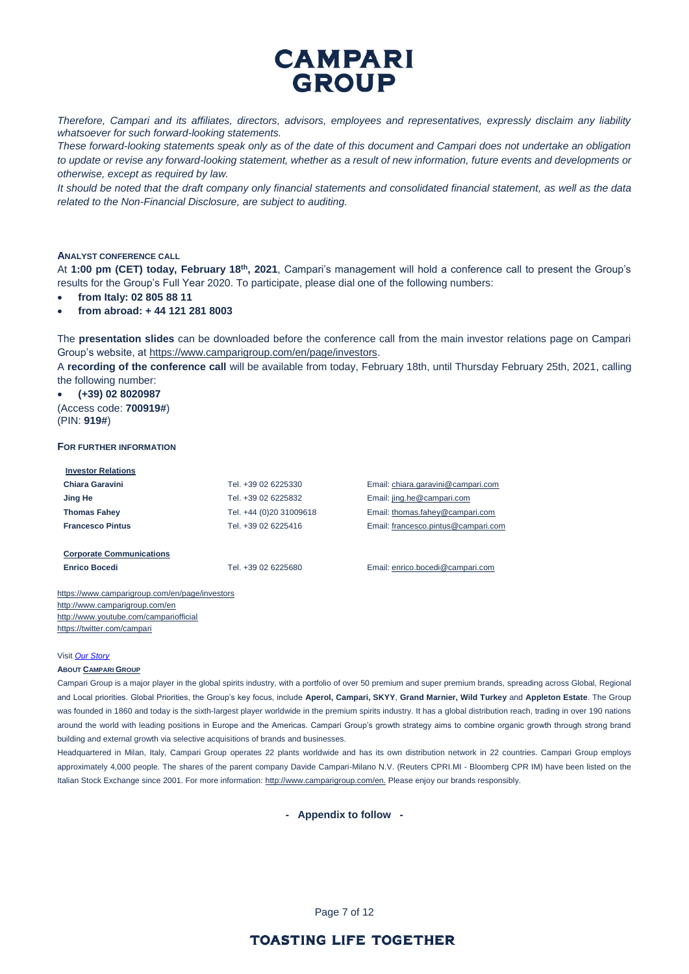

*Therefore, Campari and its affiliates, directors, advisors, employees and representatives, expressly disclaim any liability whatsoever for such forward-looking statements.*

*These forward-looking statements speak only as of the date of this document and Campari does not undertake an obligation to update or revise any forward-looking statement, whether as a result of new information, future events and developments or otherwise, except as required by law.*

*It should be noted that the draft company only financial statements and consolidated financial statement, as well as the data related to the Non-Financial Disclosure, are subject to auditing.*

#### **ANALYST CONFERENCE CALL**

At **1:00 pm (CET) today, February 18th , 2021**, Campari's management will hold a conference call to present the Group's results for the Group's Full Year 2020. To participate, please dial one of the following numbers:

- **from Italy: 02 805 88 11**
- **from abroad: + 44 121 281 8003**

The **presentation slides** can be downloaded before the conference call from the main investor relations page on Campari Group's website, at [https://www.camparigroup.com/en/page/investors.](https://www.camparigroup.com/en/page/investors)

A **recording of the conference call** will be available from today, February 18th, until Thursday February 25th, 2021, calling the following number:

• **(+39) 02 8020987**  (Access code: **700919#**)

(PIN: **919#**)

#### **FOR FURTHER INFORMATION**

| <b>Investor Relations</b>       |                         |                                     |
|---------------------------------|-------------------------|-------------------------------------|
| Chiara Garavini                 | Tel. +39 02 6225330     | Email: chiara.garavini@campari.com  |
| Jing He                         | Tel. +39 02 6225832     | Email: jing.he@campari.com          |
| <b>Thomas Fahey</b>             | Tel. +44 (0)20 31009618 | Email: thomas.fahey@campari.com     |
| <b>Francesco Pintus</b>         | Tel. +39 02 6225416     | Email: francesco.pintus@campari.com |
|                                 |                         |                                     |
| <b>Corporate Communications</b> |                         |                                     |
| <b>Enrico Bocedi</b>            | Tel. +39 02 6225680     | Email: enrico.bocedi@campari.com    |
|                                 |                         |                                     |

<https://www.camparigroup.com/en/page/investors> http://www.camparigroup.com/en <http://www.youtube.com/campariofficial> <https://twitter.com/campari>

#### Visit *[Our Story](https://youtu.be/ilNVsU9Cigo)*

#### **ABOUT C[AMPARI](https://www.camparigroup.com/en) GROUP**

Campari Group is a major player in the global spirits industry, with a portfolio of over 50 premium and super premium brands, spreading across Global, Regional and Local priorities. Global Priorities, the Group's key focus, include **Aperol, Campari, SKYY**, **Grand Marnier, Wild Turkey** and **Appleton Estate**. The Group was founded in 1860 and today is the sixth-largest player worldwide in the premium spirits industry. It has a global distribution reach, trading in over 190 nations around the world with leading positions in Europe and the Americas. Campari Group's growth strategy aims to combine organic growth through strong brand building and external growth via selective acquisitions of brands and businesses.

Headquartered in Milan, Italy, Campari Group operates 22 plants worldwide and has its own distribution network in 22 countries. Campari Group employs approximately 4,000 people. The shares of the parent company Davide Campari-Milano N.V. (Reuters CPRI.MI - Bloomberg CPR IM) have been listed on the Italian Stock Exchange since 2001. For more information[: http://www.camparigroup.com/en.](http://www.camparigroup.com/en) Please enjoy our brands responsibly.

**- Appendix to follow -**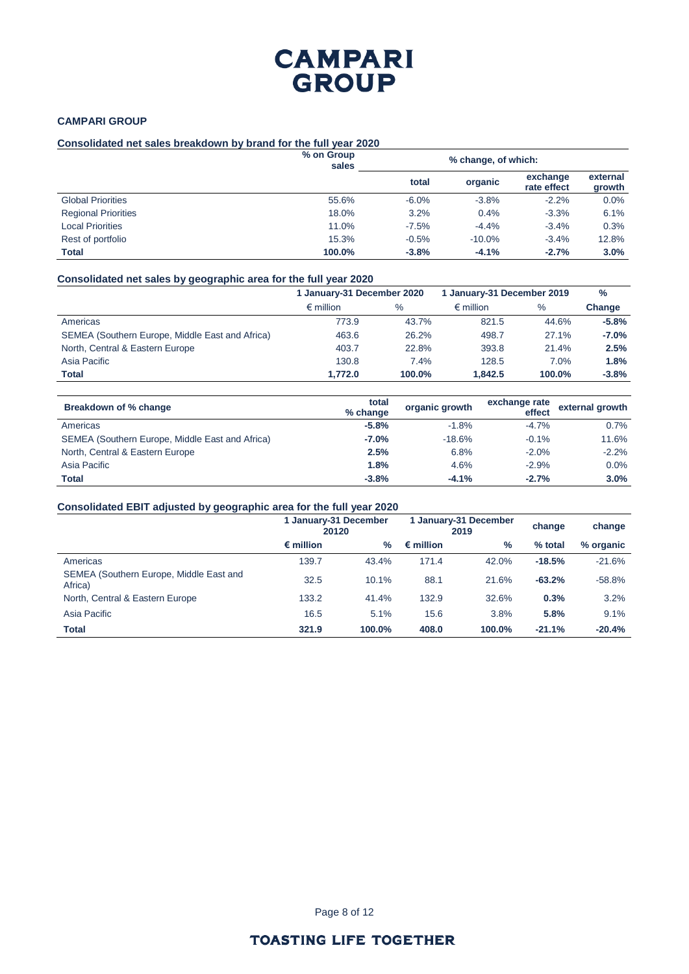### **CAMPARI GROUP**

### **Consolidated net sales breakdown by brand for the full year 2020**

|                            | % on Group<br>sales |         | % change, of which: |                         |                    |
|----------------------------|---------------------|---------|---------------------|-------------------------|--------------------|
|                            |                     | total   | organic             | exchange<br>rate effect | external<br>growth |
| <b>Global Priorities</b>   | 55.6%               | $-6.0%$ | $-3.8%$             | $-2.2%$                 | 0.0%               |
| <b>Regional Priorities</b> | 18.0%               | 3.2%    | 0.4%                | $-3.3%$                 | 6.1%               |
| <b>Local Priorities</b>    | 11.0%               | $-7.5%$ | $-4.4%$             | $-3.4%$                 | 0.3%               |
| Rest of portfolio          | 15.3%               | $-0.5%$ | $-10.0%$            | $-3.4%$                 | 12.8%              |
| Total                      | 100.0%              | $-3.8%$ | $-4.1%$             | $-2.7%$                 | 3.0%               |

### **Consolidated net sales by geographic area for the full year 2020**

|                                                 | 1 January-31 December 2020 |        | 1 January-31 December 2019 | $\frac{0}{0}$ |         |
|-------------------------------------------------|----------------------------|--------|----------------------------|---------------|---------|
|                                                 | $\epsilon$ million         | $\%$   | $\epsilon$ million         | $\%$          | Change  |
| Americas                                        | 773.9                      | 43.7%  | 821.5                      | 44.6%         | $-5.8%$ |
| SEMEA (Southern Europe, Middle East and Africa) | 463.6                      | 26.2%  | 498.7                      | 27.1%         | $-7.0%$ |
| North, Central & Eastern Europe                 | 403.7                      | 22.8%  | 393.8                      | 21.4%         | 2.5%    |
| Asia Pacific                                    | 130.8                      | 7.4%   | 128.5                      | 7.0%          | 1.8%    |
| <b>Total</b>                                    | 1.772.0                    | 100.0% | 1.842.5                    | 100.0%        | $-3.8%$ |

| Breakdown of % change                           | total<br>% change | organic growth | exchange rate<br>effect | external growth |
|-------------------------------------------------|-------------------|----------------|-------------------------|-----------------|
| Americas                                        | $-5.8%$           | $-1.8%$        | $-4.7%$                 | $0.7\%$         |
| SEMEA (Southern Europe, Middle East and Africa) | $-7.0\%$          | $-18.6%$       | $-0.1\%$                | 11.6%           |
| North, Central & Eastern Europe                 | 2.5%              | 6.8%           | $-2.0%$                 | $-2.2%$         |
| Asia Pacific                                    | 1.8%              | 4.6%           | $-2.9%$                 | 0.0%            |
| <b>Total</b>                                    | $-3.8%$           | $-4.1%$        | $-2.7%$                 | 3.0%            |

## **Consolidated EBIT adjusted by geographic area for the full year 2020**

|                                                    | 1 January-31 December<br>20120 |        |                    | 1 January-31 December<br>2019 | change   | change    |
|----------------------------------------------------|--------------------------------|--------|--------------------|-------------------------------|----------|-----------|
|                                                    | $\epsilon$ million             | $\%$   | $\epsilon$ million | $\%$                          | % total  | % organic |
| Americas                                           | 139.7                          | 43.4%  | 171.4              | 42.0%                         | $-18.5%$ | $-21.6%$  |
| SEMEA (Southern Europe, Middle East and<br>Africa) | 32.5                           | 10.1%  | 88.1               | 21.6%                         | $-63.2%$ | $-58.8%$  |
| North, Central & Eastern Europe                    | 133.2                          | 41.4%  | 132.9              | 32.6%                         | 0.3%     | 3.2%      |
| Asia Pacific                                       | 16.5                           | 5.1%   | 15.6               | 3.8%                          | 5.8%     | 9.1%      |
| <b>Total</b>                                       | 321.9                          | 100.0% | 408.0              | 100.0%                        | $-21.1%$ | $-20.4%$  |

Page 8 of 12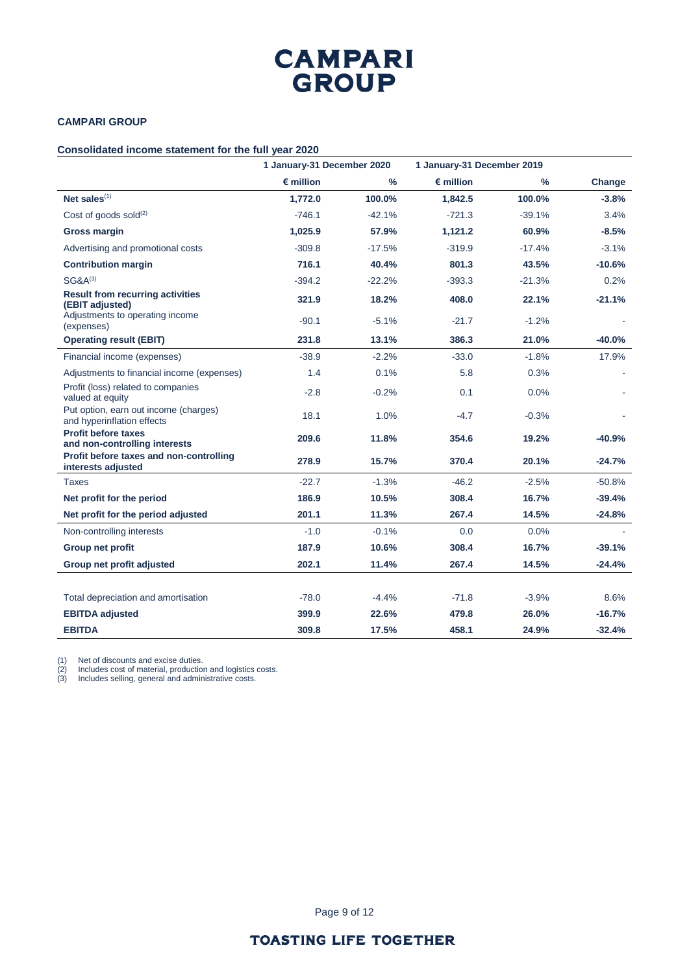## **CAMPARI GROUP**

### **Consolidated income statement for the full year 2020**

|                                                                                               | 1 January-31 December 2020 |               | 1 January-31 December 2019 |               |           |  |
|-----------------------------------------------------------------------------------------------|----------------------------|---------------|----------------------------|---------------|-----------|--|
|                                                                                               | $\epsilon$ million         | $\frac{9}{6}$ | $\epsilon$ million         | $\frac{9}{6}$ | Change    |  |
| Net sales <sup>(1)</sup>                                                                      | 1,772.0                    | 100.0%        | 1,842.5                    | 100.0%        | $-3.8%$   |  |
| Cost of goods sold $(2)$                                                                      | $-746.1$                   | $-42.1%$      | $-721.3$                   | $-39.1%$      | 3.4%      |  |
| <b>Gross margin</b>                                                                           | 1,025.9                    | 57.9%         | 1,121.2                    | 60.9%         | $-8.5%$   |  |
| Advertising and promotional costs                                                             | $-309.8$                   | $-17.5%$      | $-319.9$                   | $-17.4%$      | $-3.1%$   |  |
| <b>Contribution margin</b>                                                                    | 716.1                      | 40.4%         | 801.3                      | 43.5%         | $-10.6%$  |  |
| $SG&A^{(3)}$                                                                                  | $-394.2$                   | $-22.2%$      | $-393.3$                   | $-21.3%$      | 0.2%      |  |
| <b>Result from recurring activities</b><br>(EBIT adjusted)<br>Adjustments to operating income | 321.9                      | 18.2%         | 408.0                      | 22.1%         | $-21.1%$  |  |
| (expenses)                                                                                    | $-90.1$                    | $-5.1%$       | $-21.7$                    | $-1.2%$       |           |  |
| <b>Operating result (EBIT)</b>                                                                | 231.8                      | 13.1%         | 386.3                      | 21.0%         | $-40.0\%$ |  |
| Financial income (expenses)                                                                   | $-38.9$                    | $-2.2%$       | $-33.0$                    | $-1.8%$       | 17.9%     |  |
| Adjustments to financial income (expenses)                                                    | 1.4                        | 0.1%          | 5.8                        | 0.3%          |           |  |
| Profit (loss) related to companies<br>valued at equity                                        | $-2.8$                     | $-0.2%$       | 0.1                        | 0.0%          |           |  |
| Put option, earn out income (charges)<br>and hyperinflation effects                           | 18.1                       | 1.0%          | $-4.7$                     | $-0.3%$       |           |  |
| <b>Profit before taxes</b><br>and non-controlling interests                                   | 209.6                      | 11.8%         | 354.6                      | 19.2%         | -40.9%    |  |
| Profit before taxes and non-controlling<br>interests adjusted                                 | 278.9                      | 15.7%         | 370.4                      | 20.1%         | $-24.7%$  |  |
| Taxes                                                                                         | $-22.7$                    | $-1.3%$       | $-46.2$                    | $-2.5%$       | $-50.8%$  |  |
| Net profit for the period                                                                     | 186.9                      | 10.5%         | 308.4                      | 16.7%         | -39.4%    |  |
| Net profit for the period adjusted                                                            | 201.1                      | 11.3%         | 267.4                      | 14.5%         | $-24.8%$  |  |
| Non-controlling interests                                                                     | $-1.0$                     | $-0.1%$       | 0.0                        | 0.0%          |           |  |
| Group net profit                                                                              | 187.9                      | 10.6%         | 308.4                      | 16.7%         | $-39.1%$  |  |
| Group net profit adjusted                                                                     | 202.1                      | 11.4%         | 267.4                      | 14.5%         | $-24.4%$  |  |
| Total depreciation and amortisation                                                           | $-78.0$                    | $-4.4%$       | $-71.8$                    | $-3.9%$       | 8.6%      |  |
| <b>EBITDA</b> adjusted                                                                        | 399.9                      | 22.6%         | 479.8                      | 26.0%         | $-16.7%$  |  |
| <b>EBITDA</b>                                                                                 | 309.8                      | 17.5%         | 458.1                      | 24.9%         | $-32.4%$  |  |
|                                                                                               |                            |               |                            |               |           |  |

(1) Net of discounts and excise duties.

(2) Includes cost of material, production and logistics costs.

(3) Includes selling, general and administrative costs.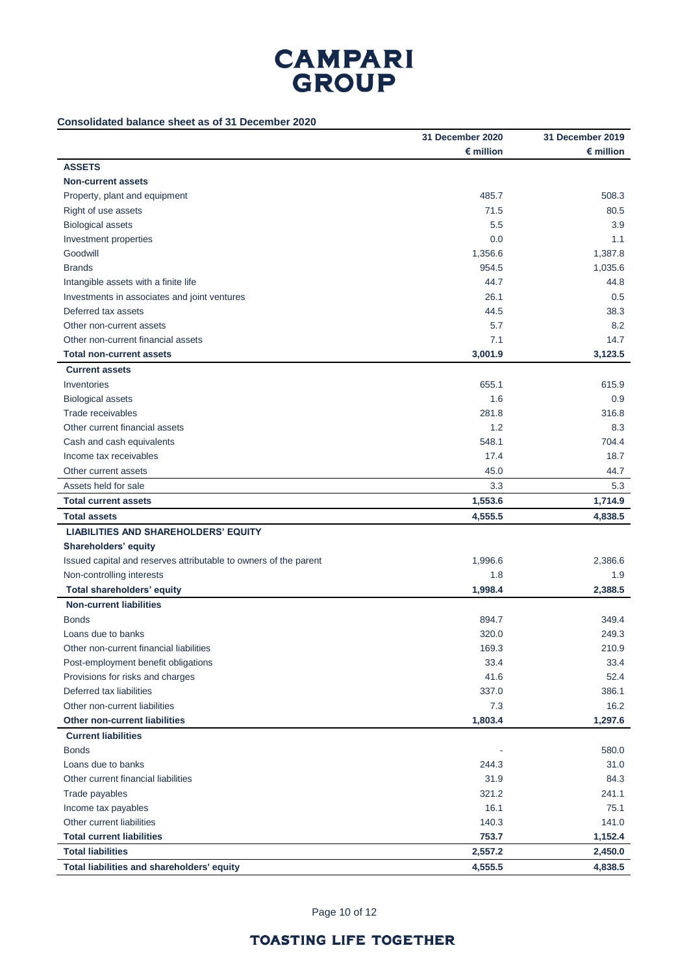## **Consolidated balance sheet as of 31 December 2020**

|                                                                  | 31 December 2020   | 31 December 2019   |
|------------------------------------------------------------------|--------------------|--------------------|
|                                                                  | $\epsilon$ million | $\epsilon$ million |
| <b>ASSETS</b>                                                    |                    |                    |
| <b>Non-current assets</b>                                        |                    |                    |
| Property, plant and equipment                                    | 485.7              | 508.3              |
| Right of use assets                                              | 71.5               | 80.5               |
| <b>Biological assets</b>                                         | 5.5                | 3.9                |
| Investment properties                                            | 0.0                | 1.1                |
| Goodwill                                                         | 1,356.6            | 1,387.8            |
| <b>Brands</b>                                                    | 954.5              | 1,035.6            |
| Intangible assets with a finite life                             | 44.7               | 44.8               |
| Investments in associates and joint ventures                     | 26.1               | 0.5                |
| Deferred tax assets                                              | 44.5               | 38.3               |
| Other non-current assets                                         | 5.7                | 8.2                |
| Other non-current financial assets                               | 7.1                | 14.7               |
| <b>Total non-current assets</b>                                  | 3,001.9            | 3,123.5            |
| <b>Current assets</b>                                            |                    |                    |
| Inventories                                                      | 655.1              | 615.9              |
| <b>Biological assets</b>                                         | 1.6                | 0.9                |
| Trade receivables                                                | 281.8              | 316.8              |
| Other current financial assets                                   | 1.2                | 8.3                |
| Cash and cash equivalents                                        | 548.1              | 704.4              |
| Income tax receivables                                           | 17.4               | 18.7               |
| Other current assets                                             | 45.0               | 44.7               |
| Assets held for sale                                             | 3.3                | 5.3                |
| <b>Total current assets</b>                                      | 1,553.6            | 1,714.9            |
| <b>Total assets</b>                                              | 4,555.5            | 4,838.5            |
| <b>LIABILITIES AND SHAREHOLDERS' EQUITY</b>                      |                    |                    |
| Shareholders' equity                                             |                    |                    |
| Issued capital and reserves attributable to owners of the parent | 1,996.6            | 2,386.6            |
| Non-controlling interests                                        | 1.8                | 1.9                |
| Total shareholders' equity                                       | 1,998.4            | 2,388.5            |
| <b>Non-current liabilities</b>                                   |                    |                    |
| <b>Bonds</b>                                                     | 894.7              | 349.4              |
| Loans due to banks                                               | 320.0              | 249.3              |
| Other non-current financial liabilities                          | 169.3              | 210.9              |
| Post-employment benefit obligations                              | 33.4               | 33.4               |
| Provisions for risks and charges                                 | 41.6               | 52.4               |
| Deferred tax liabilities                                         | 337.0              | 386.1              |
| Other non-current liabilities                                    | 7.3                | 16.2               |
| <b>Other non-current liabilities</b>                             | 1,803.4            | 1,297.6            |
| <b>Current liabilities</b>                                       |                    |                    |
| <b>Bonds</b>                                                     |                    | 580.0              |
| Loans due to banks                                               | 244.3              | 31.0               |
| Other current financial liabilities                              | 31.9               | 84.3               |
| Trade payables                                                   | 321.2              | 241.1              |
| Income tax payables                                              | 16.1               | 75.1               |
| Other current liabilities                                        | 140.3              | 141.0              |
| <b>Total current liabilities</b>                                 | 753.7              | 1,152.4            |
| <b>Total liabilities</b>                                         | 2,557.2            | 2,450.0            |
|                                                                  |                    |                    |
| Total liabilities and shareholders' equity                       | 4,555.5            | 4,838.5            |

Page 10 of 12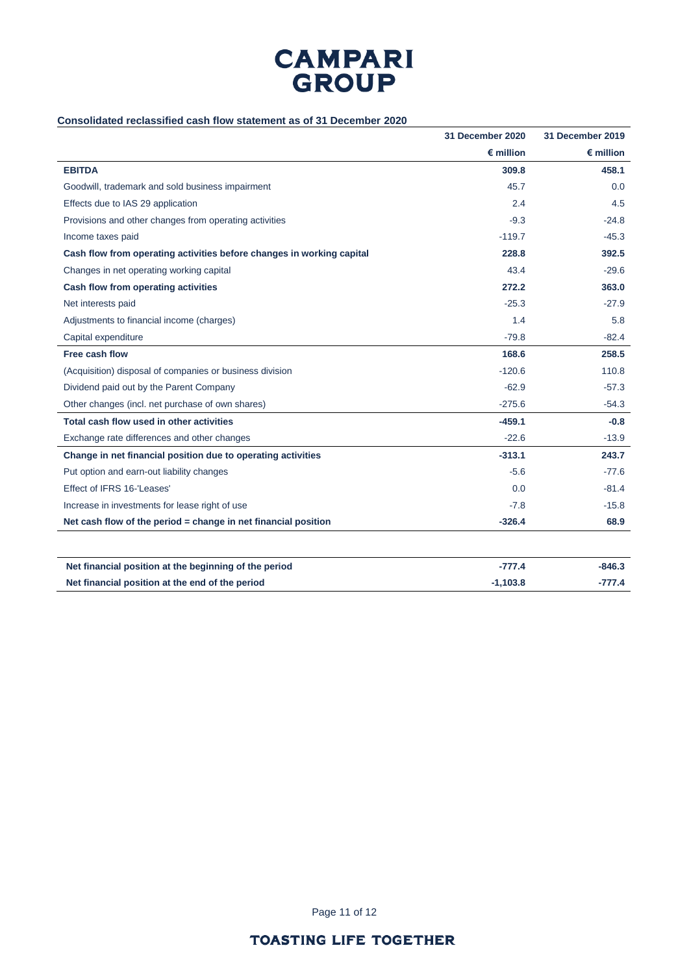

### **Consolidated reclassified cash flow statement as of 31 December 2020**

|                                                                       | 31 December 2020   | <b>31 December 2019</b> |
|-----------------------------------------------------------------------|--------------------|-------------------------|
|                                                                       | $\epsilon$ million | $\epsilon$ million      |
| <b>EBITDA</b>                                                         | 309.8              | 458.1                   |
| Goodwill, trademark and sold business impairment                      | 45.7               | 0.0                     |
| Effects due to IAS 29 application                                     | 2.4                | 4.5                     |
| Provisions and other changes from operating activities                | $-9.3$             | $-24.8$                 |
| Income taxes paid                                                     | $-119.7$           | $-45.3$                 |
| Cash flow from operating activities before changes in working capital | 228.8              | 392.5                   |
| Changes in net operating working capital                              | 43.4               | $-29.6$                 |
| Cash flow from operating activities                                   | 272.2              | 363.0                   |
| Net interests paid                                                    | $-25.3$            | $-27.9$                 |
| Adjustments to financial income (charges)                             | 1.4                | 5.8                     |
| Capital expenditure                                                   | $-79.8$            | $-82.4$                 |
| Free cash flow                                                        | 168.6              | 258.5                   |
| (Acquisition) disposal of companies or business division              | $-120.6$           | 110.8                   |
| Dividend paid out by the Parent Company                               | $-62.9$            | $-57.3$                 |
| Other changes (incl. net purchase of own shares)                      | $-275.6$           | $-54.3$                 |
| Total cash flow used in other activities                              | $-459.1$           | $-0.8$                  |
| Exchange rate differences and other changes                           | $-22.6$            | $-13.9$                 |
| Change in net financial position due to operating activities          | $-313.1$           | 243.7                   |
| Put option and earn-out liability changes                             | $-5.6$             | $-77.6$                 |
| Effect of IFRS 16-'Leases'                                            | 0.0                | $-81.4$                 |
| Increase in investments for lease right of use                        | $-7.8$             | $-15.8$                 |
| Net cash flow of the period = change in net financial position        | $-326.4$           | 68.9                    |
|                                                                       |                    |                         |
| Net financial position at the beginning of the period                 | $-777.4$           | $-846.3$                |
| Net financial position at the end of the period                       | $-1,103.8$         | $-777.4$                |

Page 11 of 12